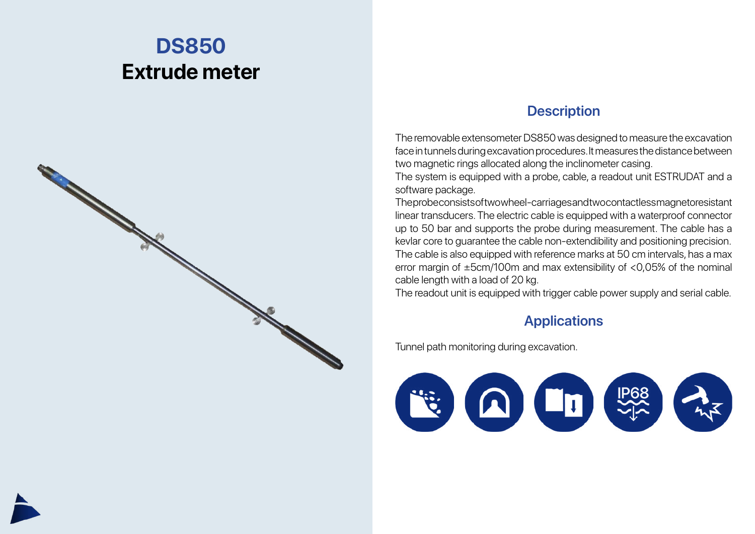## **DS850 Extrude meter**



## **Description**

The removable extensometer DS850 was designed to measure the excavation face in tunnels during excavation procedures. It measures the distance between two magnetic rings allocated along the inclinometer casing.

The system is equipped with a probe, cable, a readout unit ESTRUDAT and a software package.

The probe consists of two wheel-carriages and two contactless magnetoresistant linear transducers. The electric cable is equipped with a waterproof connector up to 50 bar and supports the probe during measurement. The cable has a kevlar core to guarantee the cable non-extendibility and positioning precision. The cable is also equipped with reference marks at 50 cm intervals, has a max error margin of ±5cm/100m and max extensibility of <0,05% of the nominal cable length with a load of 20 kg.

The readout unit is equipped with trigger cable power supply and serial cable.

## **Applications**

Tunnel path monitoring during excavation.